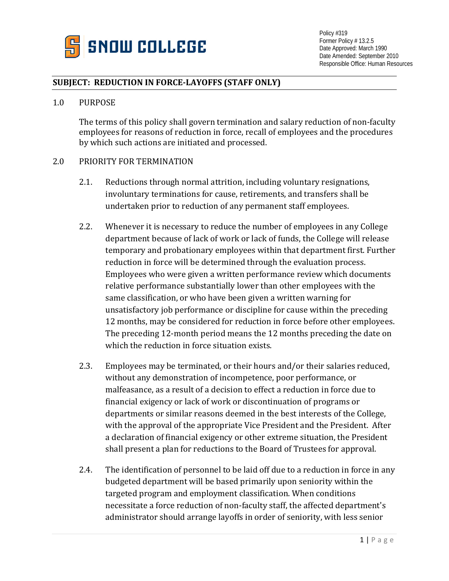

# **SUBJECT: REDUCTION IN FORCE-LAYOFFS (STAFF ONLY)**

#### 1.0 PURPOSE

The terms of this policy shall govern termination and salary reduction of non-faculty employees for reasons of reduction in force, recall of employees and the procedures by which such actions are initiated and processed.

#### 2.0 PRIORITY FOR TERMINATION

- 2.1. Reductions through normal attrition, including voluntary resignations, involuntary terminations for cause, retirements, and transfers shall be undertaken prior to reduction of any permanent staff employees.
- 2.2. Whenever it is necessary to reduce the number of employees in any College department because of lack of work or lack of funds, the College will release temporary and probationary employees within that department first. Further reduction in force will be determined through the evaluation process. Employees who were given a written performance review which documents relative performance substantially lower than other employees with the same classification, or who have been given a written warning for unsatisfactory job performance or discipline for cause within the preceding 12 months, may be considered for reduction in force before other employees. The preceding 12-month period means the 12 months preceding the date on which the reduction in force situation exists.
- 2.3. Employees may be terminated, or their hours and/or their salaries reduced, without any demonstration of incompetence, poor performance, or malfeasance, as a result of a decision to effect a reduction in force due to financial exigency or lack of work or discontinuation of programs or departments or similar reasons deemed in the best interests of the College, with the approval of the appropriate Vice President and the President. After a declaration of financial exigency or other extreme situation, the President shall present a plan for reductions to the Board of Trustees for approval.
- 2.4. The identification of personnel to be laid off due to a reduction in force in any budgeted department will be based primarily upon seniority within the targeted program and employment classification. When conditions necessitate a force reduction of non-faculty staff, the affected department's administrator should arrange layoffs in order of seniority, with less senior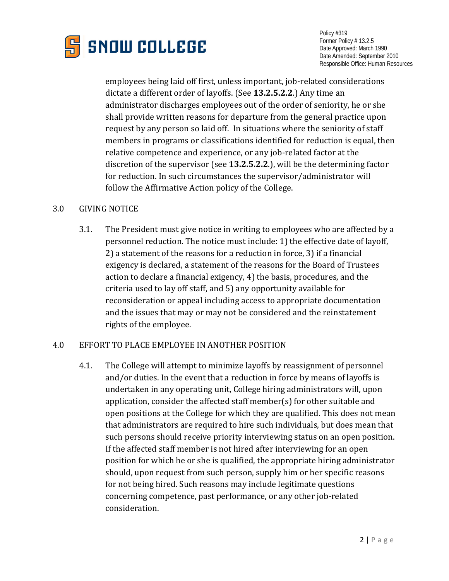

employees being laid off first, unless important, job-related considerations dictate a different order of layoffs. (See **13.2.5.2.2**.) Any time an administrator discharges employees out of the order of seniority, he or she shall provide written reasons for departure from the general practice upon request by any person so laid off. In situations where the seniority of staff members in programs or classifications identified for reduction is equal, then relative competence and experience, or any job-related factor at the discretion of the supervisor (see **13.2.5.2.2**.), will be the determining factor for reduction. In such circumstances the supervisor/administrator will follow the Affirmative Action policy of the College.

### 3.0 GIVING NOTICE

3.1. The President must give notice in writing to employees who are affected by a personnel reduction. The notice must include: 1) the effective date of layoff, 2) a statement of the reasons for a reduction in force, 3) if a financial exigency is declared, a statement of the reasons for the Board of Trustees action to declare a financial exigency, 4) the basis, procedures, and the criteria used to lay off staff, and 5) any opportunity available for reconsideration or appeal including access to appropriate documentation and the issues that may or may not be considered and the reinstatement rights of the employee.

#### 4.0 EFFORT TO PLACE EMPLOYEE IN ANOTHER POSITION

4.1. The College will attempt to minimize layoffs by reassignment of personnel and/or duties. In the event that a reduction in force by means of layoffs is undertaken in any operating unit, College hiring administrators will, upon application, consider the affected staff member(s) for other suitable and open positions at the College for which they are qualified. This does not mean that administrators are required to hire such individuals, but does mean that such persons should receive priority interviewing status on an open position. If the affected staff member is not hired after interviewing for an open position for which he or she is qualified, the appropriate hiring administrator should, upon request from such person, supply him or her specific reasons for not being hired. Such reasons may include legitimate questions concerning competence, past performance, or any other job-related consideration.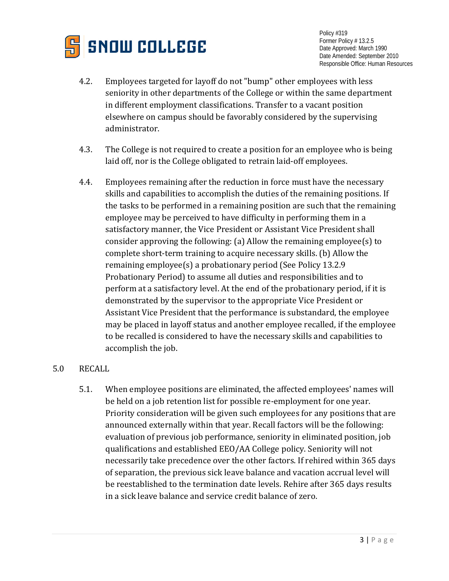

- 4.2. Employees targeted for layoff do not "bump" other employees with less seniority in other departments of the College or within the same department in different employment classifications. Transfer to a vacant position elsewhere on campus should be favorably considered by the supervising administrator.
- 4.3. The College is not required to create a position for an employee who is being laid off, nor is the College obligated to retrain laid-off employees.
- 4.4. Employees remaining after the reduction in force must have the necessary skills and capabilities to accomplish the duties of the remaining positions. If the tasks to be performed in a remaining position are such that the remaining employee may be perceived to have difficulty in performing them in a satisfactory manner, the Vice President or Assistant Vice President shall consider approving the following: (a) Allow the remaining employee(s) to complete short-term training to acquire necessary skills. (b) Allow the remaining employee(s) a probationary period (See Policy 13.2.9 Probationary Period) to assume all duties and responsibilities and to perform at a satisfactory level. At the end of the probationary period, if it is demonstrated by the supervisor to the appropriate Vice President or Assistant Vice President that the performance is substandard, the employee may be placed in layoff status and another employee recalled, if the employee to be recalled is considered to have the necessary skills and capabilities to accomplish the job.

## 5.0 RECALL

5.1. When employee positions are eliminated, the affected employees' names will be held on a job retention list for possible re-employment for one year. Priority consideration will be given such employees for any positions that are announced externally within that year. Recall factors will be the following: evaluation of previous job performance, seniority in eliminated position, job qualifications and established EEO/AA College policy. Seniority will not necessarily take precedence over the other factors. If rehired within 365 days of separation, the previous sick leave balance and vacation accrual level will be reestablished to the termination date levels. Rehire after 365 days results in a sick leave balance and service credit balance of zero.